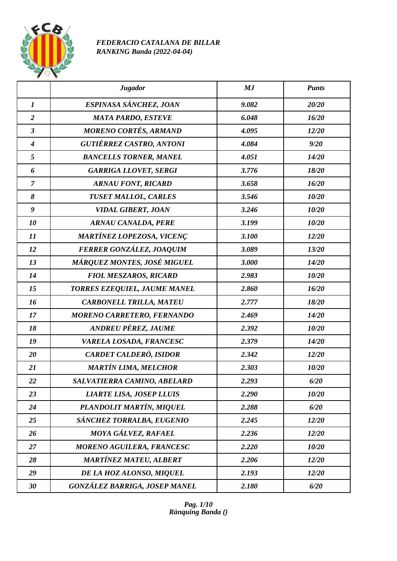

## *FEDERACIO CATALANA DE BILLAR RANKING Banda (2022-04-04)*

|                  | <b>Jugador</b>                       | MJ    | <b>Punts</b> |
|------------------|--------------------------------------|-------|--------------|
| $\boldsymbol{l}$ | ESPINASA SÁNCHEZ, JOAN               | 9.082 | 20/20        |
| $\overline{2}$   | <b>MATA PARDO, ESTEVE</b>            | 6.048 | 16/20        |
| $\mathbf{3}$     | <b>MORENO CORTÉS, ARMAND</b>         | 4.095 | 12/20        |
| $\boldsymbol{4}$ | <b>GUTIÉRREZ CASTRO, ANTONI</b>      | 4.084 | 9/20         |
| 5                | <b>BANCELLS TORNER, MANEL</b>        | 4.051 | 14/20        |
| 6                | <b>GARRIGA LLOVET, SERGI</b>         | 3.776 | 18/20        |
| $\overline{7}$   | <b>ARNAU FONT, RICARD</b>            | 3.658 | 16/20        |
| 8                | <b>TUSET MALLOL, CARLES</b>          | 3.546 | 10/20        |
| 9                | <b>VIDAL GIBERT, JOAN</b>            | 3.246 | 10/20        |
| 10               | <b>ARNAU CANALDA, PERE</b>           | 3.199 | 10/20        |
| 11               | <b>MARTÍNEZ LOPEZOSA, VICENÇ</b>     | 3.100 | 12/20        |
| 12               | FERRER GONZÁLEZ, JOAQUIM             | 3.089 | 13/20        |
| 13               | MÁRQUEZ MONTES, JOSÉ MIGUEL          | 3.000 | 14/20        |
| 14               | <b>FIOL MESZAROS, RICARD</b>         | 2.983 | 10/20        |
| 15               | TORRES EZEQUIEL, JAUME MANEL         | 2.860 | 16/20        |
| 16               | <b>CARBONELL TRILLA, MATEU</b>       | 2.777 | 18/20        |
| 17               | <b>MORENO CARRETERO, FERNANDO</b>    | 2.469 | 14/20        |
| 18               | <b>ANDREU PÉREZ, JAUME</b>           | 2.392 | 10/20        |
| 19               | VARELA LOSADA, FRANCESC              | 2.379 | 14/20        |
| 20               | <b>CARDET CALDERÓ, ISIDOR</b>        | 2.342 | 12/20        |
| 21               | <b>MARTÍN LIMA, MELCHOR</b>          | 2.303 | 10/20        |
| 22               | SALVATIERRA CAMINO, ABELARD          | 2.293 | 6/20         |
| 23               | <b>LIARTE LISA, JOSEP LLUIS</b>      | 2.290 | 10/20        |
| 24               | PLANDOLIT MARTÍN, MIQUEL             | 2.288 | 6/20         |
| 25               | SÁNCHEZ TORRALBA, EUGENIO            | 2.245 | $12/20$      |
| 26               | MOYA GÁLVEZ, RAFAEL                  | 2.236 | 12/20        |
| 27               | <b>MORENO AGUILERA, FRANCESC</b>     | 2.220 | 10/20        |
| 28               | <b>MARTÍNEZ MATEU, ALBERT</b>        | 2.206 | 12/20        |
| 29               | DE LA HOZ ALONSO, MIQUEL             | 2.193 | 12/20        |
| 30               | <b>GONZÁLEZ BARRIGA, JOSEP MANEL</b> | 2.180 | 6/20         |

*Pag. 1/10 Rànquing Banda ()*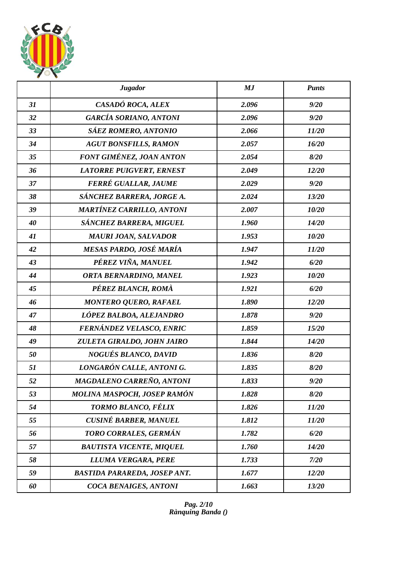

|    | <b>Jugador</b>                      | MJ    | <b>Punts</b> |
|----|-------------------------------------|-------|--------------|
| 31 | CASADÓ ROCA, ALEX                   | 2.096 | 9/20         |
| 32 | <b>GARCÍA SORIANO, ANTONI</b>       | 2.096 | 9/20         |
| 33 | <b>SÁEZ ROMERO, ANTONIO</b>         | 2.066 | 11/20        |
| 34 | <b>AGUT BONSFILLS, RAMON</b>        | 2.057 | 16/20        |
| 35 | FONT GIMÉNEZ, JOAN ANTON            | 2.054 | 8/20         |
| 36 | <b>LATORRE PUIGVERT, ERNEST</b>     | 2.049 | 12/20        |
| 37 | FERRÉ GUALLAR, JAUME                | 2.029 | 9/20         |
| 38 | SÁNCHEZ BARRERA, JORGE A.           | 2.024 | 13/20        |
| 39 | <b>MARTÍNEZ CARRILLO, ANTONI</b>    | 2.007 | 10/20        |
| 40 | SÁNCHEZ BARRERA, MIGUEL             | 1.960 | 14/20        |
| 41 | <b>MAURI JOAN, SALVADOR</b>         | 1.953 | 10/20        |
| 42 | MESAS PARDO, JOSÉ MARÍA             | 1.947 | 11/20        |
| 43 | PÉREZ VIÑA, MANUEL                  | 1.942 | 6/20         |
| 44 | ORTA BERNARDINO, MANEL              | 1.923 | 10/20        |
| 45 | PÉREZ BLANCH, ROMÀ                  | 1.921 | 6/20         |
| 46 | <b>MONTERO QUERO, RAFAEL</b>        | 1.890 | 12/20        |
| 47 | LÓPEZ BALBOA, ALEJANDRO             | 1.878 | 9/20         |
| 48 | FERNÁNDEZ VELASCO, ENRIC            | 1.859 | 15/20        |
| 49 | ZULETA GIRALDO, JOHN JAIRO          | 1.844 | 14/20        |
| 50 | <b>NOGUÉS BLANCO, DAVID</b>         | 1.836 | 8/20         |
| 51 | LONGARÓN CALLE, ANTONI G.           | 1.835 | 8/20         |
| 52 | MAGDALENO CARREÑO, ANTONI           | 1.833 | 9/20         |
| 53 | MOLINA MASPOCH, JOSEP RAMÓN         | 1.828 | 8/20         |
| 54 | TORMO BLANCO, FÉLIX                 | 1.826 | 11/20        |
| 55 | <b>CUSINÉ BARBER, MANUEL</b>        | 1.812 | 11/20        |
| 56 | TORO CORRALES, GERMÁN               | 1.782 | 6/20         |
| 57 | <b>BAUTISTA VICENTE, MIQUEL</b>     | 1.760 | 14/20        |
| 58 | LLUMA VERGARA, PERE                 | 1.733 | 7/20         |
| 59 | <b>BASTIDA PARAREDA, JOSEP ANT.</b> | 1.677 | 12/20        |
| 60 | COCA BENAIGES, ANTONI               | 1.663 | 13/20        |

*Pag. 2/10 Rànquing Banda ()*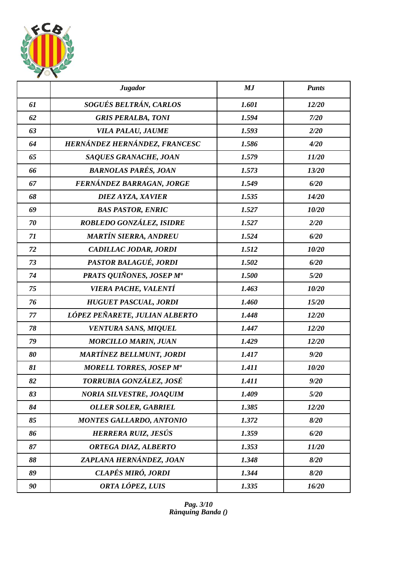

|    | <b>Jugador</b>                  | MJ    | <b>Punts</b> |
|----|---------------------------------|-------|--------------|
| 61 | SOGUÉS BELTRÁN, CARLOS          | 1.601 | 12/20        |
| 62 | <b>GRIS PERALBA, TONI</b>       | 1.594 | 7/20         |
| 63 | <b>VILA PALAU, JAUME</b>        | 1.593 | 2/20         |
| 64 | HERNÁNDEZ HERNÁNDEZ, FRANCESC   | 1.586 | 4/20         |
| 65 | SAQUES GRANACHE, JOAN           | 1.579 | 11/20        |
| 66 | <b>BARNOLAS PARÉS, JOAN</b>     | 1.573 | 13/20        |
| 67 | FERNÁNDEZ BARRAGAN, JORGE       | 1.549 | 6/20         |
| 68 | DIEZ AYZA, XAVIER               | 1.535 | 14/20        |
| 69 | <b>BAS PASTOR, ENRIC</b>        | 1.527 | 10/20        |
| 70 | ROBLEDO GONZÁLEZ, ISIDRE        | 1.527 | 2/20         |
| 71 | <b>MARTÍN SIERRA, ANDREU</b>    | 1.524 | 6/20         |
| 72 | CADILLAC JODAR, JORDI           | 1.512 | 10/20        |
| 73 | PASTOR BALAGUÉ, JORDI           | 1.502 | 6/20         |
| 74 | PRATS QUIÑONES, JOSEP Mª        | 1.500 | 5/20         |
| 75 | VIERA PACHE, VALENTÍ            | 1.463 | 10/20        |
| 76 | <b>HUGUET PASCUAL, JORDI</b>    | 1.460 | 15/20        |
| 77 | LÓPEZ PEÑARETE, JULIAN ALBERTO  | 1.448 | 12/20        |
| 78 | <b>VENTURA SANS, MIQUEL</b>     | 1.447 | 12/20        |
| 79 | <b>MORCILLO MARIN, JUAN</b>     | 1.429 | 12/20        |
| 80 | <b>MARTÍNEZ BELLMUNT, JORDI</b> | 1.417 | 9/20         |
| 81 | <b>MORELL TORRES, JOSEP Ma</b>  | 1.411 | 10/20        |
| 82 | TORRUBIA GONZÁLEZ, JOSÉ         | 1.411 | 9/20         |
| 83 | <b>NORIA SILVESTRE, JOAQUIM</b> | 1.409 | 5/20         |
| 84 | <b>OLLER SOLER, GABRIEL</b>     | 1.385 | 12/20        |
| 85 | <b>MONTES GALLARDO, ANTONIO</b> | 1.372 | 8/20         |
| 86 | HERRERA RUIZ, JESÚS             | 1.359 | 6/20         |
| 87 | ORTEGA DIAZ, ALBERTO            | 1.353 | 11/20        |
| 88 | ZAPLANA HERNÁNDEZ, JOAN         | 1.348 | 8/20         |
| 89 | CLAPÉS MIRÓ, JORDI              | 1.344 | 8/20         |
| 90 | ORTA LÓPEZ, LUIS                | 1.335 | 16/20        |

*Pag. 3/10 Rànquing Banda ()*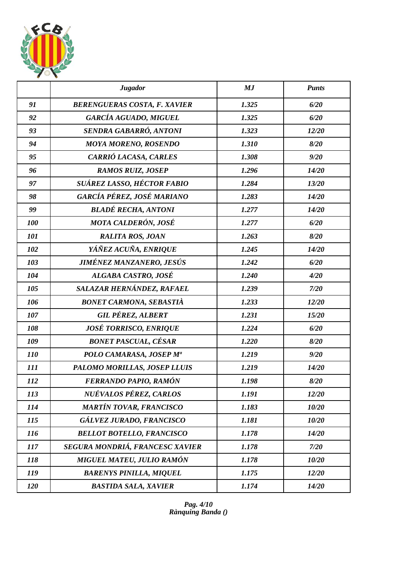

|            | <b>Jugador</b>                      | MJ    | <b>Punts</b> |
|------------|-------------------------------------|-------|--------------|
| 91         | <b>BERENGUERAS COSTA, F. XAVIER</b> | 1.325 | 6/20         |
| 92         | <b>GARCÍA AGUADO, MIGUEL</b>        | 1.325 | 6/20         |
| 93         | SENDRA GABARRÓ, ANTONI              | 1.323 | 12/20        |
| 94         | <b>MOYA MORENO, ROSENDO</b>         | 1.310 | 8/20         |
| 95         | CARRIÓ LACASA, CARLES               | 1.308 | 9/20         |
| 96         | <b>RAMOS RUIZ, JOSEP</b>            | 1.296 | 14/20        |
| 97         | SUÁREZ LASSO, HÉCTOR FABIO          | 1.284 | 13/20        |
| 98         | GARCÍA PÉREZ, JOSÉ MARIANO          | 1.283 | 14/20        |
| 99         | <b>BLADÉ RECHA, ANTONI</b>          | 1.277 | 14/20        |
| 100        | MOTA CALDERÓN, JOSÉ                 | 1.277 | 6/20         |
| 101        | <b>RALITA ROS, JOAN</b>             | 1.263 | 8/20         |
| 102        | YÁÑEZ ACUÑA, ENRIQUE                | 1.245 | 14/20        |
| 103        | JIMÉNEZ MANZANERO, JESÚS            | 1.242 | 6/20         |
| 104        | ALGABA CASTRO, JOSÉ                 | 1.240 | 4/20         |
| 105        | SALAZAR HERNÁNDEZ, RAFAEL           | 1.239 | 7/20         |
| 106        | <b>BONET CARMONA, SEBASTIÀ</b>      | 1.233 | 12/20        |
| 107        | <b>GIL PÉREZ, ALBERT</b>            | 1.231 | 15/20        |
| 108        | <b>JOSÉ TORRISCO, ENRIQUE</b>       | 1.224 | 6/20         |
| 109        | <b>BONET PASCUAL, CÉSAR</b>         | 1.220 | 8/20         |
| <i>110</i> | POLO CAMARASA, JOSEP Mª             | 1.219 | 9/20         |
| 111        | PALOMO MORILLAS, JOSEP LLUIS        | 1.219 | 14/20        |
| 112        | FERRANDO PAPIO, RAMÓN               | 1.198 | 8/20         |
| 113        | NUÉVALOS PÉREZ, CARLOS              | 1.191 | 12/20        |
| 114        | <b>MARTÍN TOVAR, FRANCISCO</b>      | 1.183 | 10/20        |
| 115        | GÁLVEZ JURADO, FRANCISCO            | 1.181 | 10/20        |
| <b>116</b> | <b>BELLOT BOTELLO, FRANCISCO</b>    | 1.178 | 14/20        |
| 117        | SEGURA MONDRIÁ, FRANCESC XAVIER     | 1.178 | 7/20         |
| 118        | MIGUEL MATEU, JULIO RAMÓN           | 1.178 | 10/20        |
| 119        | <b>BARENYS PINILLA, MIQUEL</b>      | 1.175 | 12/20        |
| 120        | <b>BASTIDA SALA, XAVIER</b>         | 1.174 | 14/20        |

*Pag. 4/10 Rànquing Banda ()*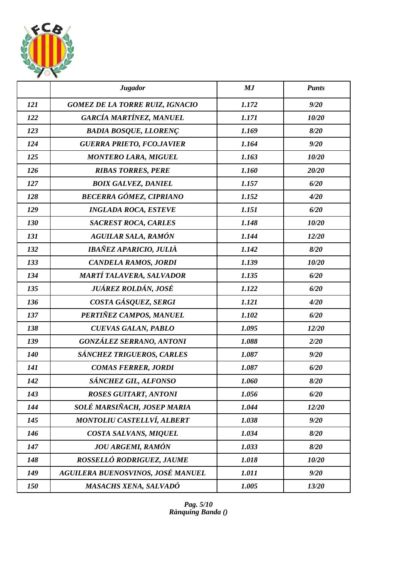

|            | <b>Jugador</b>                         | MJ    | <b>Punts</b> |
|------------|----------------------------------------|-------|--------------|
| 121        | <b>GOMEZ DE LA TORRE RUIZ, IGNACIO</b> | 1.172 | 9/20         |
| 122        | GARCÍA MARTÍNEZ, MANUEL                | 1.171 | 10/20        |
| 123        | <b>BADIA BOSQUE, LLORENÇ</b>           | 1.169 | 8/20         |
| 124        | <b>GUERRA PRIETO, FCO.JAVIER</b>       | 1.164 | 9/20         |
| 125        | <b>MONTERO LARA, MIGUEL</b>            | 1.163 | 10/20        |
| 126        | <b>RIBAS TORRES, PERE</b>              | 1.160 | 20/20        |
| 127        | <b>BOIX GALVEZ, DANIEL</b>             | 1.157 | 6/20         |
| 128        | <b>BECERRA GÓMEZ, CIPRIANO</b>         | 1.152 | 4/20         |
| 129        | <b>INGLADA ROCA, ESTEVE</b>            | 1.151 | 6/20         |
| 130        | <b>SACREST ROCA, CARLES</b>            | 1.148 | 10/20        |
| 131        | <b>AGUILAR SALA, RAMÓN</b>             | 1.144 | 12/20        |
| 132        | IBAÑEZ APARICIO, JULIÀ                 | 1.142 | 8/20         |
| 133        | <b>CANDELA RAMOS, JORDI</b>            | 1.139 | 10/20        |
| 134        | MARTÍ TALAVERA, SALVADOR               | 1.135 | 6/20         |
| 135        | JUÁREZ ROLDÁN, JOSÉ                    | 1.122 | 6/20         |
| 136        | COSTA GÁSQUEZ, SERGI                   | 1.121 | 4/20         |
| 137        | PERTIÑEZ CAMPOS, MANUEL                | 1.102 | 6/20         |
| 138        | <b>CUEVAS GALAN, PABLO</b>             | 1.095 | 12/20        |
| 139        | <b>GONZÁLEZ SERRANO, ANTONI</b>        | 1.088 | 2/20         |
| <b>140</b> | SÁNCHEZ TRIGUEROS, CARLES              | 1.087 | 9/20         |
| 141        | <b>COMAS FERRER, JORDI</b>             | 1.087 | 6/20         |
| 142        | SÁNCHEZ GIL, ALFONSO                   | 1.060 | 8/20         |
| 143        | <b>ROSES GUITART, ANTONI</b>           | 1.056 | 6/20         |
| 144        | SOLÉ MARSIÑACH, JOSEP MARIA            | 1.044 | 12/20        |
| 145        | <b>MONTOLIU CASTELLVÍ, ALBERT</b>      | 1.038 | 9/20         |
| 146        | COSTA SALVANS, MIQUEL                  | 1.034 | 8/20         |
| 147        | <b>JOU ARGEMI, RAMÓN</b>               | 1.033 | 8/20         |
| 148        | ROSSELLÓ RODRIGUEZ, JAUME              | 1.018 | 10/20        |
| 149        | AGUILERA BUENOSVINOS, JOSÉ MANUEL      | 1.011 | 9/20         |
| 150        | MASACHS XENA, SALVADÓ                  | 1.005 | 13/20        |

*Pag. 5/10 Rànquing Banda ()*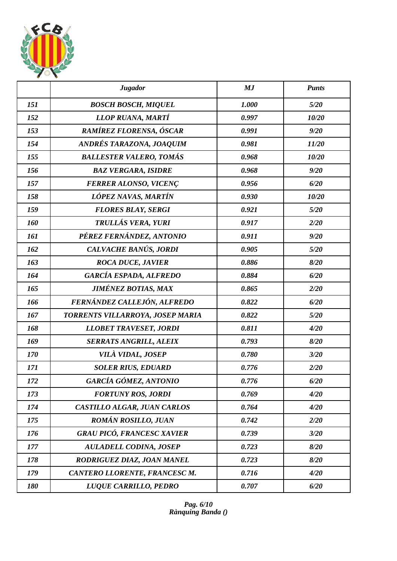

|     | <b>Jugador</b>                    | MJ    | <b>Punts</b> |
|-----|-----------------------------------|-------|--------------|
| 151 | <b>BOSCH BOSCH, MIQUEL</b>        | 1.000 | 5/20         |
| 152 | LLOP RUANA, MARTÍ                 | 0.997 | 10/20        |
| 153 | RAMÍREZ FLORENSA, ÓSCAR           | 0.991 | 9/20         |
| 154 | ANDRÉS TARAZONA, JOAQUIM          | 0.981 | 11/20        |
| 155 | <b>BALLESTER VALERO, TOMÁS</b>    | 0.968 | 10/20        |
| 156 | <b>BAZ VERGARA, ISIDRE</b>        | 0.968 | 9/20         |
| 157 | <b>FERRER ALONSO, VICENÇ</b>      | 0.956 | 6/20         |
| 158 | LÓPEZ NAVAS, MARTÍN               | 0.930 | 10/20        |
| 159 | <b>FLORES BLAY, SERGI</b>         | 0.921 | 5/20         |
| 160 | TRULLÁS VERA, YURI                | 0.917 | 2/20         |
| 161 | PÉREZ FERNÁNDEZ, ANTONIO          | 0.911 | 9/20         |
| 162 | CALVACHE BANÚS, JORDI             | 0.905 | 5/20         |
| 163 | <b>ROCA DUCE, JAVIER</b>          | 0.886 | 8/20         |
| 164 | <b>GARCÍA ESPADA, ALFREDO</b>     | 0.884 | 6/20         |
| 165 | <b>JIMÉNEZ BOTIAS, MAX</b>        | 0.865 | 2/20         |
| 166 | FERNÁNDEZ CALLEJÓN, ALFREDO       | 0.822 | 6/20         |
| 167 | TORRENTS VILLARROYA, JOSEP MARIA  | 0.822 | 5/20         |
| 168 | <b>LLOBET TRAVESET, JORDI</b>     | 0.811 | 4/20         |
| 169 | <b>SERRATS ANGRILL, ALEIX</b>     | 0.793 | 8/20         |
| 170 | <b>VILÀ VIDAL, JOSEP</b>          | 0.780 | 3/20         |
| 171 | <b>SOLER RIUS, EDUARD</b>         | 0.776 | 2/20         |
| 172 | GARCÍA GÓMEZ, ANTONIO             | 0.776 | 6/20         |
| 173 | <b>FORTUNY ROS, JORDI</b>         | 0.769 | 4/20         |
| 174 | CASTILLO ALGAR, JUAN CARLOS       | 0.764 | 4/20         |
| 175 | <b>ROMÁN ROSILLO, JUAN</b>        | 0.742 | 2/20         |
| 176 | <b>GRAU PICÓ, FRANCESC XAVIER</b> | 0.739 | 3/20         |
| 177 | <b>AULADELL CODINA, JOSEP</b>     | 0.723 | 8/20         |
| 178 | RODRIGUEZ DIAZ, JOAN MANEL        | 0.723 | 8/20         |
| 179 | CANTERO LLORENTE, FRANCESC M.     | 0.716 | 4/20         |
| 180 | LUQUE CARRILLO, PEDRO             | 0.707 | 6/20         |

*Pag. 6/10 Rànquing Banda ()*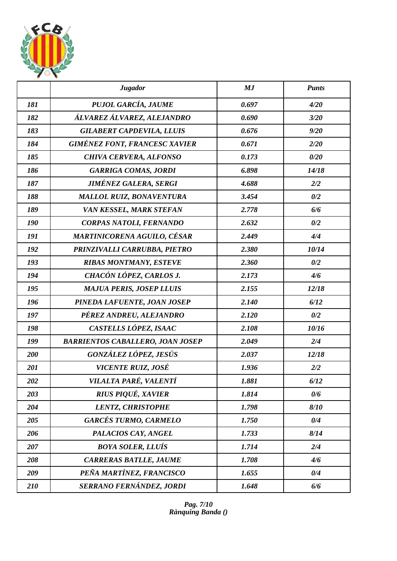

|     | <b>Jugador</b>                          | MJ    | <b>Punts</b> |
|-----|-----------------------------------------|-------|--------------|
| 181 | PUJOL GARCÍA, JAUME                     | 0.697 | 4/20         |
| 182 | ÁLVAREZ ÁLVAREZ, ALEJANDRO              | 0.690 | 3/20         |
| 183 | <b>GILABERT CAPDEVILA, LLUIS</b>        | 0.676 | 9/20         |
| 184 | <b>GIMÉNEZ FONT, FRANCESC XAVIER</b>    | 0.671 | 2/20         |
| 185 | <b>CHIVA CERVERA, ALFONSO</b>           | 0.173 | 0/20         |
| 186 | <b>GARRIGA COMAS, JORDI</b>             | 6.898 | 14/18        |
| 187 | <b>JIMÉNEZ GALERA, SERGI</b>            | 4.688 | 2/2          |
| 188 | <b>MALLOL RUIZ, BONAVENTURA</b>         | 3.454 | 0/2          |
| 189 | VAN KESSEL, MARK STEFAN                 | 2.778 | 6/6          |
| 190 | CORPAS NATOLI, FERNANDO                 | 2.632 | 0/2          |
| 191 | MARTINICORENA AGUILO, CÉSAR             | 2.449 | 4/4          |
| 192 | PRINZIVALLI CARRUBBA, PIETRO            | 2.380 | 10/14        |
| 193 | <b>RIBAS MONTMANY, ESTEVE</b>           | 2.360 | 0/2          |
| 194 | CHACÓN LÓPEZ, CARLOS J.                 | 2.173 | 4/6          |
| 195 | <b>MAJUA PERIS, JOSEP LLUIS</b>         | 2.155 | 12/18        |
| 196 | PINEDA LAFUENTE, JOAN JOSEP             | 2.140 | 6/12         |
| 197 | PÉREZ ANDREU, ALEJANDRO                 | 2.120 | 0/2          |
| 198 | CASTELLS LÓPEZ, ISAAC                   | 2.108 | 10/16        |
| 199 | <b>BARRIENTOS CABALLERO, JOAN JOSEP</b> | 2.049 | 2/4          |
| 200 | GONZÁLEZ LÓPEZ, JESÚS                   | 2.037 | 12/18        |
| 201 | VICENTE RUIZ, JOSÉ                      | 1.936 | 2/2          |
| 202 | VILALTA PARÉ, VALENTÍ                   | 1.881 | 6/12         |
| 203 | <b>RIUS PIQUÉ, XAVIER</b>               | 1.814 | 0/6          |
| 204 | <b>LENTZ, CHRISTOPHE</b>                | 1.798 | 8/10         |
| 205 | <b>GARCÉS TURMO, CARMELO</b>            | 1.750 | 0/4          |
| 206 | PALACIOS CAY, ANGEL                     | 1.733 | 8/14         |
| 207 | <b>BOYA SOLER, LLUÍS</b>                | 1.714 | 2/4          |
| 208 | <b>CARRERAS BATLLE, JAUME</b>           | 1.708 | 4/6          |
| 209 | PEÑA MARTÍNEZ, FRANCISCO                | 1.655 | 0/4          |
| 210 | SERRANO FERNÁNDEZ, JORDI                | 1.648 | 6/6          |

*Pag. 7/10 Rànquing Banda ()*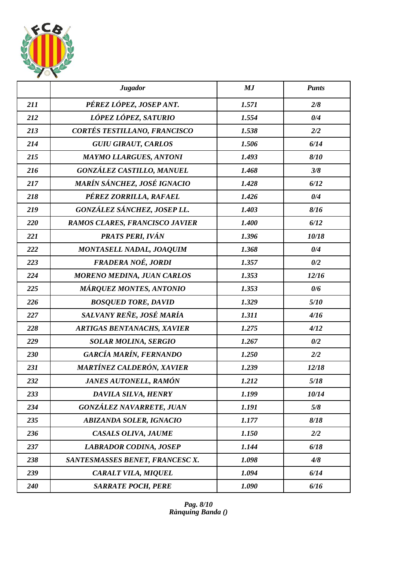

|     | <b>Jugador</b>                    | MJ    | <b>Punts</b> |
|-----|-----------------------------------|-------|--------------|
| 211 | PÉREZ LÓPEZ, JOSEP ANT.           | 1.571 | 2/8          |
| 212 | LÓPEZ LÓPEZ, SATURIO              | 1.554 | 0/4          |
| 213 | CORTÉS TESTILLANO, FRANCISCO      | 1.538 | 2/2          |
| 214 | <b>GUIU GIRAUT, CARLOS</b>        | 1.506 | 6/14         |
| 215 | <b>MAYMO LLARGUES, ANTONI</b>     | 1.493 | 8/10         |
| 216 | <b>GONZÁLEZ CASTILLO, MANUEL</b>  | 1.468 | 3/8          |
| 217 | MARÍN SÁNCHEZ, JOSÉ IGNACIO       | 1.428 | 6/12         |
| 218 | PÉREZ ZORRILLA, RAFAEL            | 1.426 | 0/4          |
| 219 | GONZÁLEZ SÁNCHEZ, JOSEP LL.       | 1.403 | 8/16         |
| 220 | RAMOS CLARES, FRANCISCO JAVIER    | 1.400 | 6/12         |
| 221 | PRATS PERI, IVÁN                  | 1.396 | 10/18        |
| 222 | MONTASELL NADAL, JOAQUIM          | 1.368 | 0/4          |
| 223 | FRADERA NOÉ, JORDI                | 1.357 | 0/2          |
| 224 | <b>MORENO MEDINA, JUAN CARLOS</b> | 1.353 | 12/16        |
| 225 | <b>MÁRQUEZ MONTES, ANTONIO</b>    | 1.353 | 0/6          |
| 226 | <b>BOSQUED TORE, DAVID</b>        | 1.329 | 5/10         |
| 227 | SALVANY REÑE, JOSÉ MARÍA          | 1.311 | 4/16         |
| 228 | <b>ARTIGAS BENTANACHS, XAVIER</b> | 1.275 | 4/12         |
| 229 | <b>SOLAR MOLINA, SERGIO</b>       | 1.267 | 0/2          |
| 230 | GARCÍA MARÍN, FERNANDO            | 1.250 | 2/2          |
| 231 | MARTÍNEZ CALDERÓN, XAVIER         | 1.239 | 12/18        |
| 232 | JANES AUTONELL, RAMÓN             | 1.212 | 5/18         |
| 233 | DAVILA SILVA, HENRY               | 1.199 | 10/14        |
| 234 | <b>GONZÁLEZ NAVARRETE, JUAN</b>   | 1.191 | 5/8          |
| 235 | <b>ABIZANDA SOLER, IGNACIO</b>    | 1.177 | 8/18         |
| 236 | CASALS OLIVA, JAUME               | 1.150 | 2/2          |
| 237 | <b>LABRADOR CODINA, JOSEP</b>     | 1.144 | 6/18         |
| 238 | SANTESMASSES BENET, FRANCESC X.   | 1.098 | 4/8          |
| 239 | CARALT VILA, MIQUEL               | 1.094 | 6/14         |
| 240 | <b>SARRATE POCH, PERE</b>         | 1.090 | 6/16         |

*Pag. 8/10 Rànquing Banda ()*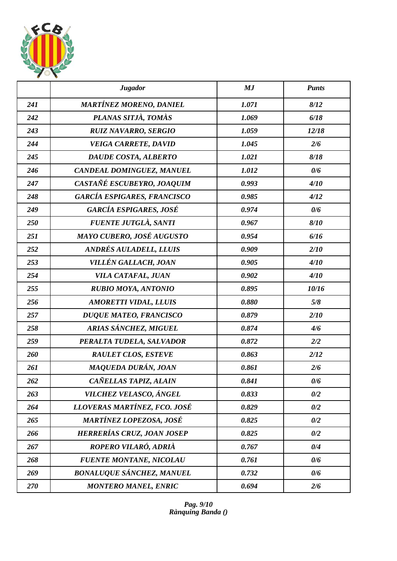

|     | <b>Jugador</b>                     | MJ    | <b>Punts</b> |
|-----|------------------------------------|-------|--------------|
| 241 | <b>MARTÍNEZ MORENO, DANIEL</b>     | 1.071 | 8/12         |
| 242 | PLANAS SITJÀ, TOMÀS                | 1.069 | 6/18         |
| 243 | <b>RUIZ NAVARRO, SERGIO</b>        | 1.059 | 12/18        |
| 244 | <b>VEIGA CARRETE, DAVID</b>        | 1.045 | 2/6          |
| 245 | DAUDE COSTA, ALBERTO               | 1.021 | 8/18         |
| 246 | CANDEAL DOMINGUEZ, MANUEL          | 1.012 | 0/6          |
| 247 | CASTAÑÉ ESCUBEYRO, JOAQUIM         | 0.993 | 4/10         |
| 248 | <b>GARCÍA ESPIGARES, FRANCISCO</b> | 0.985 | 4/12         |
| 249 | <b>GARCÍA ESPIGARES, JOSÉ</b>      | 0.974 | 0/6          |
| 250 | FUENTE JUTGLÀ, SANTI               | 0.967 | 8/10         |
| 251 | MAYO CUBERO, JOSÉ AUGUSTO          | 0.954 | 6/16         |
| 252 | ANDRÉS AULADELL, LLUIS             | 0.909 | 2/10         |
| 253 | VILLÉN GALLACH, JOAN               | 0.905 | 4/10         |
| 254 | VILA CATAFAL, JUAN                 | 0.902 | 4/10         |
| 255 | <b>RUBIO MOYA, ANTONIO</b>         | 0.895 | 10/16        |
| 256 | <b>AMORETTI VIDAL, LLUIS</b>       | 0.880 | 5/8          |
| 257 | <b>DUQUE MATEO, FRANCISCO</b>      | 0.879 | 2/10         |
| 258 | ARIAS SÁNCHEZ, MIGUEL              | 0.874 | 4/6          |
| 259 | PERALTA TUDELA, SALVADOR           | 0.872 | 2/2          |
| 260 | <b>RAULET CLOS, ESTEVE</b>         | 0.863 | 2/12         |
| 261 | MAQUEDA DURÁN, JOAN                | 0.861 | 2/6          |
| 262 | CAÑELLAS TAPIZ, ALAIN              | 0.841 | 0/6          |
| 263 | VILCHEZ VELASCO, ÁNGEL             | 0.833 | 0/2          |
| 264 | LLOVERAS MARTÍNEZ, FCO. JOSÉ       | 0.829 | 0/2          |
| 265 | <b>MARTÍNEZ LOPEZOSA, JOSÉ</b>     | 0.825 | 0/2          |
| 266 | HERRERÍAS CRUZ, JOAN JOSEP         | 0.825 | 0/2          |
| 267 | ROPERO VILARÓ, ADRIÀ               | 0.767 | 0/4          |
| 268 | <b>FUENTE MONTANE, NICOLAU</b>     | 0.761 | 0/6          |
| 269 | <b>BONALUQUE SÁNCHEZ, MANUEL</b>   | 0.732 | 0/6          |
| 270 | <b>MONTERO MANEL, ENRIC</b>        | 0.694 | 2/6          |

*Pag. 9/10 Rànquing Banda ()*